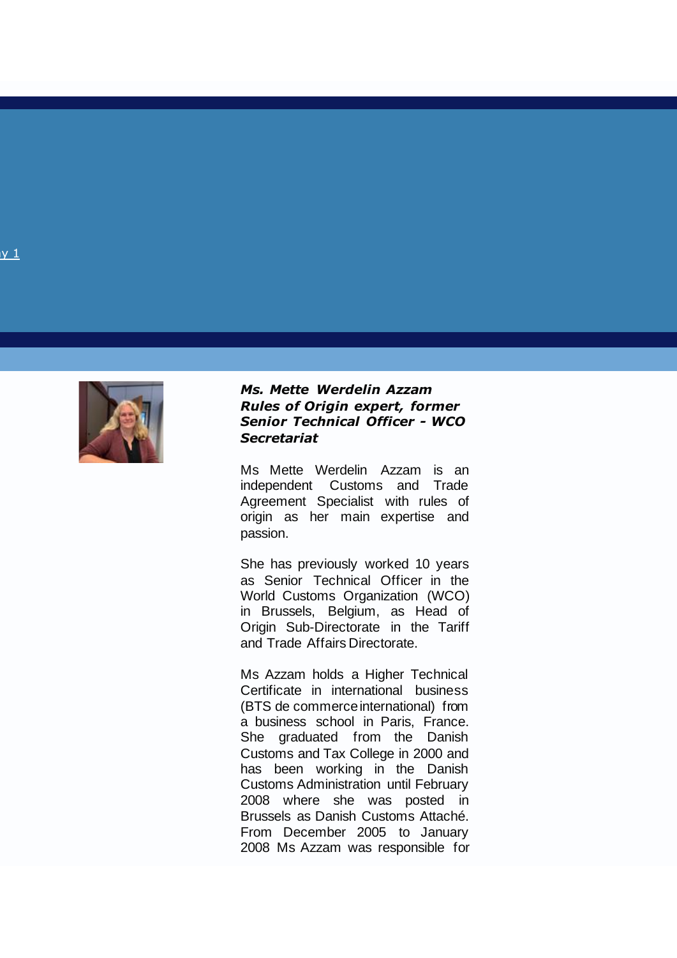

#### *Ms. Mette Werdelin Azzam Rules of Origin expert, former Senior Technical Officer - WCO Secretariat*

Ms Mette Werdelin Azzam is an independent Customs and Trade Agreement Specialist with rules of origin as her main expertise and passion.

She has previously worked 10 years as Senior Technical Officer in the World Customs Organization (WCO) in Brussels, Belgium, as Head of Origin Sub -Directorate in the Tariff and Trade Affairs Directorate.

Ms Azzam holds a Higher Technical Certificate in international business (BTS de commerce international) from a business school in Paris, France. She graduated from the Danish Customs and Tax College in 2000 and has been working in the Danish Customs Administration until February 2008 where she was posted in Brussels as Danish Customs Attaché. From December 2005 to January 2008 Ms Azzam was responsible for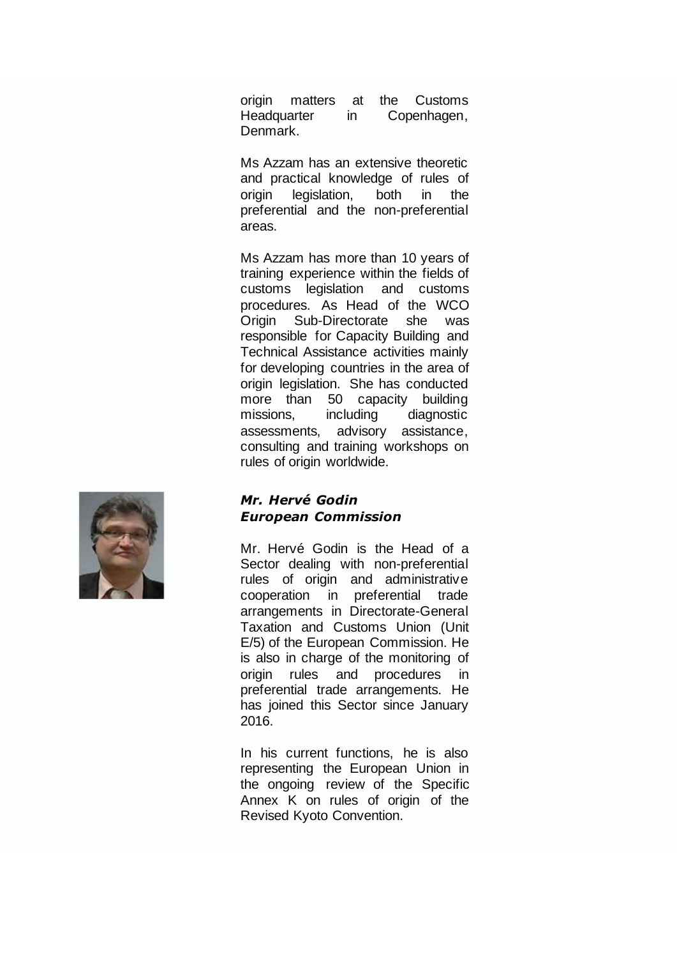origin matters at the Customs Headquarter in Copenhagen, Denmark.

Ms Azzam has an extensive theoretic and practical knowledge of rules of origin legislation, both in the preferential and the non-preferential areas.

Ms Azzam has more than 10 years of training experience within the fields of customs legislation and customs procedures. As Head of the WCO Origin Sub-Directorate she was responsible for Capacity Building and Technical Assistance activities mainly for developing countries in the area of origin legislation. She has conducted more than 50 capacity building missions, including diagnostic assessments, advisory assistance, consulting and training workshops on rules of origin worldwide.

# *Mr. Hervé Godin European Commission*

Mr. Hervé Godin is the Head of a Sector dealing with non-preferential rules of origin and administrative cooperation in preferential trade arrangements in Directorate-General Taxation and Customs Union (Unit E/5) of the European Commission. He is also in charge of the monitoring of origin rules and procedures in preferential trade arrangements. He has joined this Sector since January 2016.

In his current functions, he is also representing the European Union in the ongoing review of the Specific Annex K on rules of origin of the Revised Kyoto Convention.

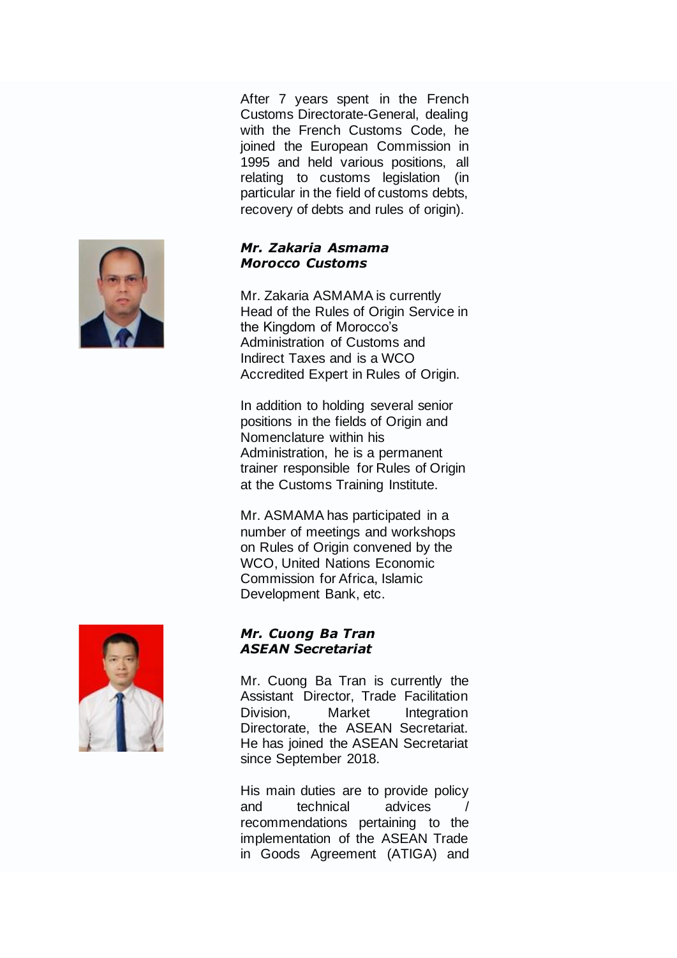After 7 years spent in the French Customs Directorate-General, dealing with the French Customs Code, he joined the European Commission in 1995 and held various positions, all relating to customs legislation (in particular in the field of customs debts, recovery of debts and rules of origin).

### *Mr. Zakaria Asmama Morocco Customs*

Mr. Zakaria ASMAMA is currently Head of the Rules of Origin Service in the Kingdom of Morocco's Administration of Customs and Indirect Taxes and is a WCO Accredited Expert in Rules of Origin.

In addition to holding several senior positions in the fields of Origin and Nomenclature within his Administration, he is a permanent trainer responsible for Rules of Origin at the Customs Training Institute.

Mr. ASMAMA has participated in a number of meetings and workshops on Rules of Origin convened by the WCO, United Nations Economic Commission for Africa, Islamic Development Bank, etc.

### *Mr. Cuong Ba Tran ASEAN Secretariat*

Mr. Cuong Ba Tran is currently the Assistant Director, Trade Facilitation Division, Market Integration Directorate, the ASEAN Secretariat. He has joined the ASEAN Secretariat since September 2018.

His main duties are to provide policy and technical advices recommendations pertaining to the implementation of the ASEAN Trade in Goods Agreement (ATIGA) and



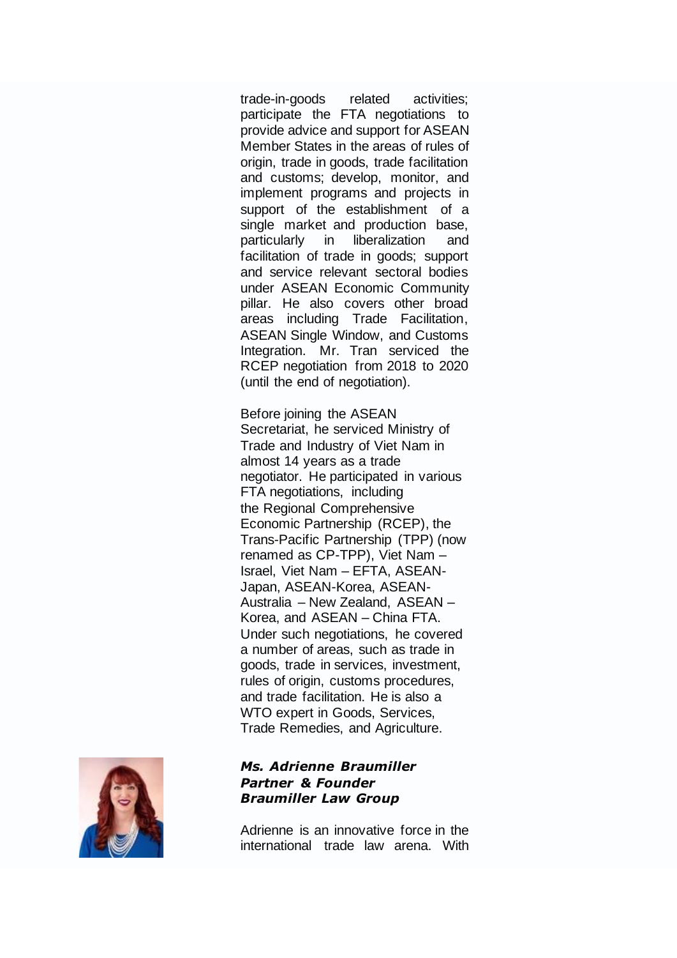trade-in-goods related activities; participate the FTA negotiations to provide advice and support for ASEAN Member States in the areas of rules of origin, trade in goods, trade facilitation and customs; develop, monitor, and implement programs and projects in support of the establishment of a single market and production base, particularly in liberalization and facilitation of trade in goods; support and service relevant sectoral bodies under ASEAN Economic Community pillar. He also covers other broad areas including Trade Facilitation, ASEAN Single Window, and Customs Integration. Mr. Tran serviced the RCEP negotiation from 2018 to 2020 (until the end of negotiation).

Before joining the ASEAN Secretariat, he serviced Ministry of Trade and Industry of Viet Nam in almost 14 years as a trade negotiator. He participated in various FTA negotiations, including the Regional Comprehensive Economic Partnership (RCEP), the Trans-Pacific Partnership (TPP) (now renamed as CP-TPP), Viet Nam – Israel, Viet Nam – EFTA, ASEAN-Japan, ASEAN-Korea, ASEAN-Australia – New Zealand, ASEAN – Korea, and ASEAN – China FTA. Under such negotiations, he covered a number of areas, such as trade in goods, trade in services, investment, rules of origin, customs procedures, and trade facilitation. He is also a WTO expert in Goods, Services, Trade Remedies, and Agriculture.



#### *Ms. Adrienne Braumiller Partner & Founder Braumiller Law Group*

Adrienne is an innovative force in the international trade law arena. With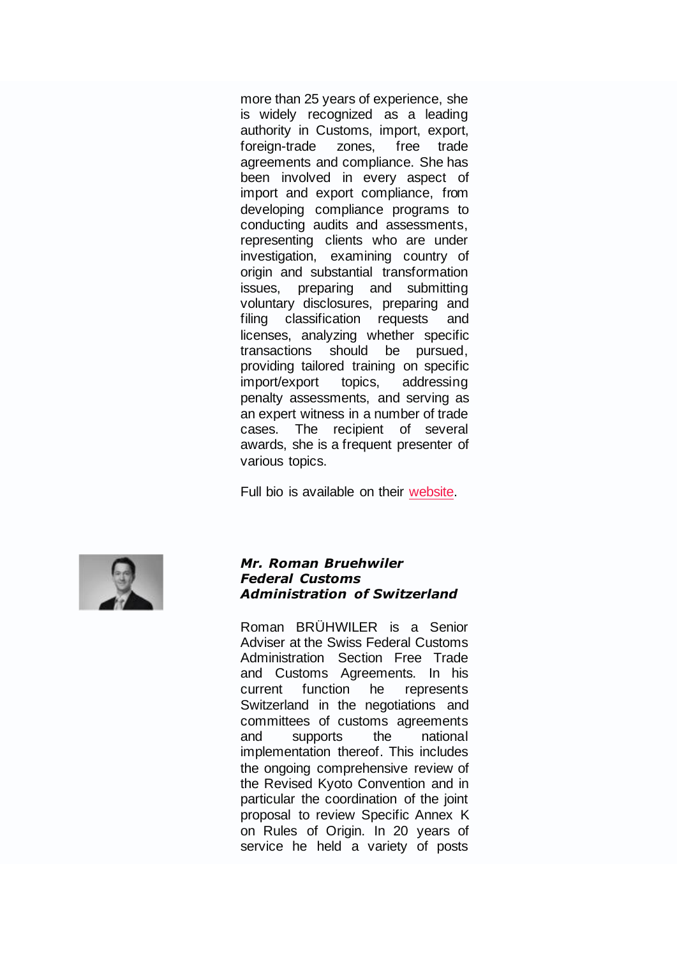more than 25 years of experience, she is widely recognized as a leading authority in Customs, import, export, foreign-trade zones, free trade agreements and compliance. She has been involved in every aspect of import and export compliance, from developing compliance programs to conducting audits and assessments, representing clients who are under investigation, examining country of origin and substantial transformation issues, preparing and submitting voluntary disclosures, preparing and filing classification requests and licenses, analyzing whether specific transactions should be pursued, providing tailored training on specific import/export topics, addressing penalty assessments, and serving as an expert witness in a number of trade cases. The recipient of several awards, she is a frequent presenter of various topics.

Full bio is available on their [website.](https://www.braumillerlaw.com/bio/adrienne-braumiller/)



#### *Mr. Roman Bruehwiler Federal Customs Administration of Switzerland*

Roman BRÜHWILER is a Senior Adviser at the Swiss Federal Customs Administration Section Free Trade and Customs Agreements. In his current function he represents Switzerland in the negotiations and committees of customs agreements and supports the national implementation thereof. This includes the ongoing comprehensive review of the Revised Kyoto Convention and in particular the coordination of the joint proposal to review Specific Annex K on Rules of Origin. In 20 years of service he held a variety of posts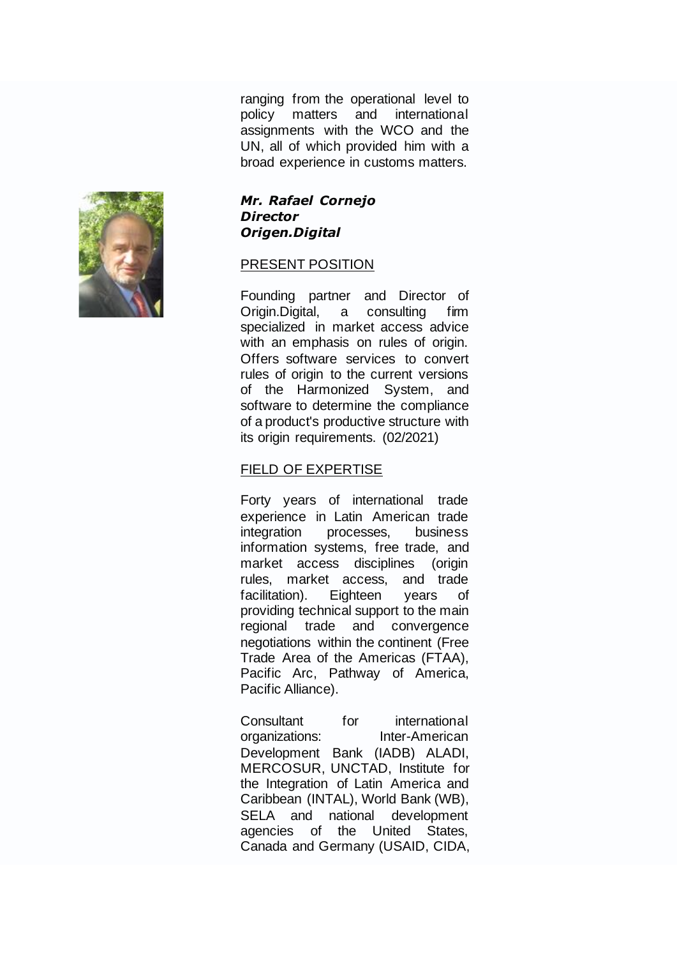ranging from the operational level to policy matters and international assignments with the WCO and the UN, all of which provided him with a broad experience in customs matters.



#### *Mr. Rafael Cornejo Director Origen.Digital*

#### PRESENT POSITION

Founding partner and Director of Origin.Digital, a consulting firm specialized in market access advice with an emphasis on rules of origin. Offers software services to convert rules of origin to the current versions of the Harmonized System, and software to determine the compliance of a product's productive structure with its origin requirements. (02/2021)

### FIELD OF EXPERTISE

Forty years of international trade experience in Latin American trade integration processes, business information systems, free trade, and market access disciplines (origin rules, market access, and trade facilitation). Eighteen years of providing technical support to the main regional trade and convergence negotiations within the continent (Free Trade Area of the Americas (FTAA), Pacific Arc, Pathway of America, Pacific Alliance).

Consultant for international organizations: Inter-American Development Bank (IADB) ALADI, MERCOSUR, UNCTAD, Institute for the Integration of Latin America and Caribbean (INTAL), World Bank (WB), SELA and national development agencies of the United States, Canada and Germany (USAID, CIDA,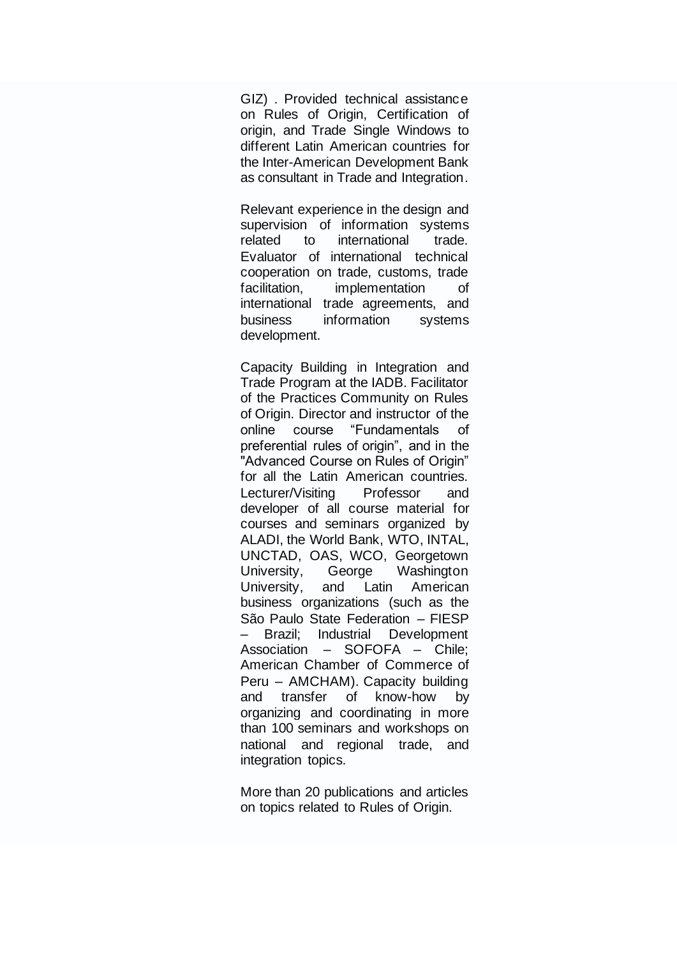GIZ) . Provided technical assistance on Rules of Origin, Certification of origin, and Trade Single Windows to different Latin American countries for the Inter-American Development Bank as consultant in Trade and Integration.

Relevant experience in the design and supervision of information systems related to international trade. Evaluator of international technical cooperation on trade, customs, trade facilitation, implementation of international trade agreements, and business information systems development.

Capacity Building in Integration and Trade Program at the IADB. Facilitator of the Practices Community on Rules of Origin. Director and instructor of the online course "Fundamentals of preferential rules of origin", and in the "Advanced Course on Rules of Origin" for all the Latin American countries. Lecturer/Visiting Professor and developer of all course material for courses and seminars organized by ALADI, the World Bank, WTO, INTAL, UNCTAD, OAS, WCO, Georgetown University, George Washington University, and Latin American business organizations (such as the São Paulo State Federation – FIESP – Brazil; Industrial Development Association – SOFOFA – Chile; American Chamber of Commerce of Peru – AMCHAM). Capacity building and transfer of know-how by organizing and coordinating in more than 100 seminars and workshops on national and regional trade, and integration topics.

More than 20 publications and articles on topics related to Rules of Origin.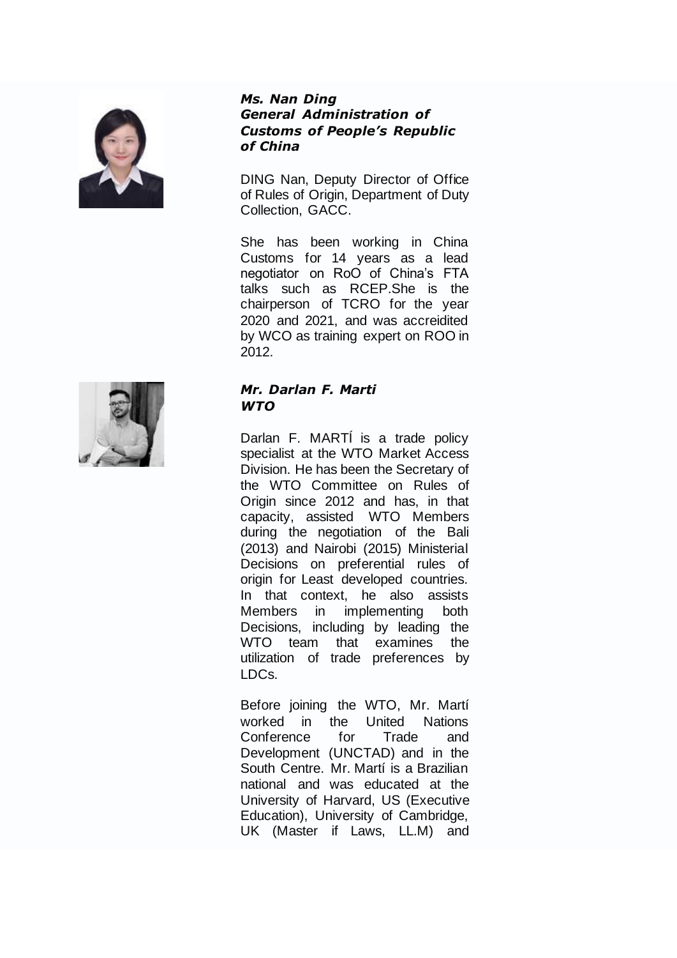

#### *Ms. Nan Ding General Administration of Customs of People's Republic of China*

DING Nan, Deputy Director of Office of Rules of Origin, Department of Duty Collection, GACC.

She has been working in China Customs for 14 years as a lead negotiator on RoO of China's FTA talks such as RCEP.She is the chairperson of TCRO for the year 2020 and 2021, and was accreidited by WCO as training expert on ROO in 2012.



## *Mr. Darlan F. Marti WTO*

Darlan F. MARTÍ is a trade policy specialist at the WTO Market Access Division. He has been the Secretary of the WTO Committee on Rules of Origin since 2012 and has, in that capacity, assisted WTO Members during the negotiation of the Bali (2013) and Nairobi (2015) Ministerial Decisions on preferential rules of origin for Least developed countries. In that context, he also assists Members in implementing both Decisions, including by leading the WTO team that examines the utilization of trade preferences by LDCs.

Before joining the WTO, Mr. Martí worked in the United Nations Conference for Trade and Development (UNCTAD) and in the South Centre. Mr. Martí is a Brazilian national and was educated at the University of Harvard, US (Executive Education), University of Cambridge, UK (Master if Laws, LL.M) and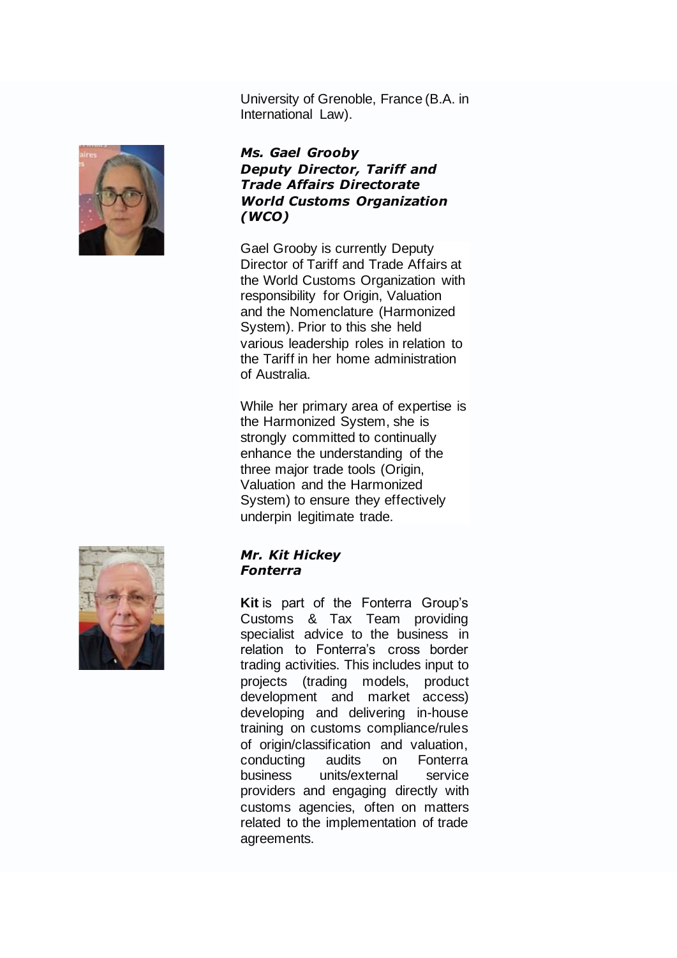University of Grenoble, France (B.A. in International Law).



### *Ms. Gael Grooby Deputy Director, Tariff and Trade Affairs Directorate World Customs Organization (WCO)*

Gael Grooby is currently Deputy Director of Tariff and Trade Affairs at the World Customs Organization with responsibility for Origin, Valuation and the Nomenclature (Harmonized System). Prior to this she held various leadership roles in relation to the Tariff in her home administration of Australia.

While her primary area of expertise is the Harmonized System, she is strongly committed to continually enhance the understanding of the three major trade tools (Origin, Valuation and the Harmonized System) to ensure they effectively underpin legitimate trade.



#### *Mr. Kit Hickey Fonterra*

**Kit** is part of the Fonterra Group's Customs & Tax Team providing specialist advice to the business in relation to Fonterra's cross border trading activities. This includes input to projects (trading models, product development and market access) developing and delivering in-house training on customs compliance/rules of origin/classification and valuation, conducting audits on Fonterra business units/external service providers and engaging directly with customs agencies, often on matters related to the implementation of trade agreements.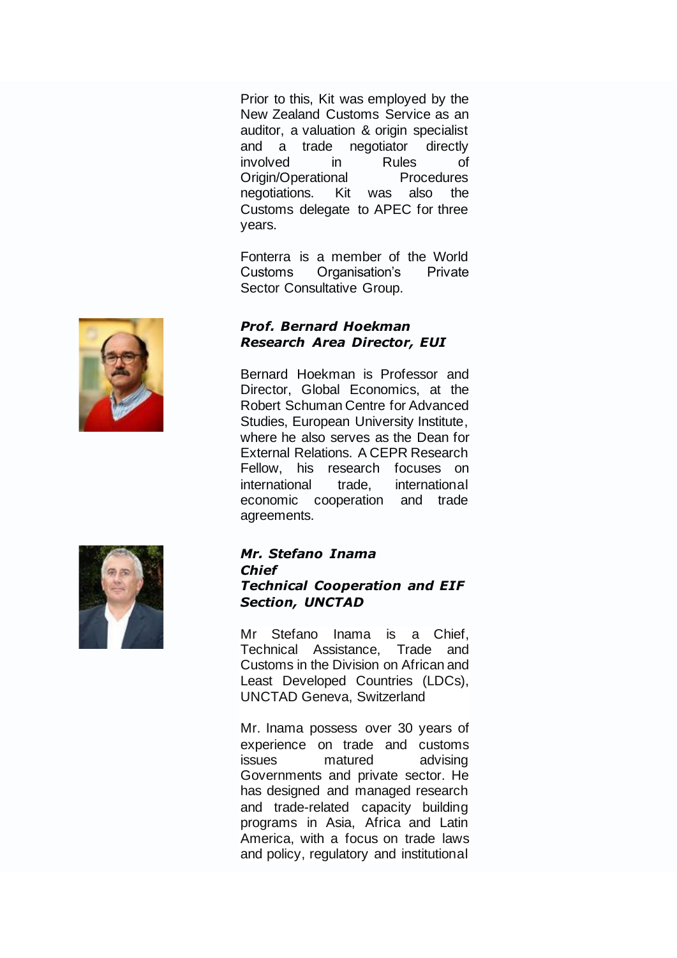Prior to this, Kit was employed by the New Zealand Customs Service as an auditor, a valuation & origin specialist and a trade negotiator directly involved in Rules of Origin/Operational Procedures negotiations. Kit was also the Customs delegate to APEC for three years.

Fonterra is a member of the World Customs Organisation's Private Sector Consultative Group.

## *Prof. Bernard Hoekman Research Area Director, EUI*

Bernard Hoekman is Professor and Director, Global Economics, at the Robert Schuman Centre for Advanced Studies, European University Institute, where he also serves as the Dean for External Relations. A CEPR Research Fellow, his research focuses on international trade, international economic cooperation and trade agreements.



### *Mr. Stefano Inama Chief Technical Cooperation and EIF Section, UNCTAD*

Mr Stefano Inama is a Chief, Technical Assistance, Trade and Customs in the Division on African and Least Developed Countries (LDCs), UNCTAD Geneva, Switzerland

Mr. Inama possess over 30 years of experience on trade and customs issues matured advising Governments and private sector. He has designed and managed research and trade-related capacity building programs in Asia, Africa and Latin America, with a focus on trade laws and policy, regulatory and institutional

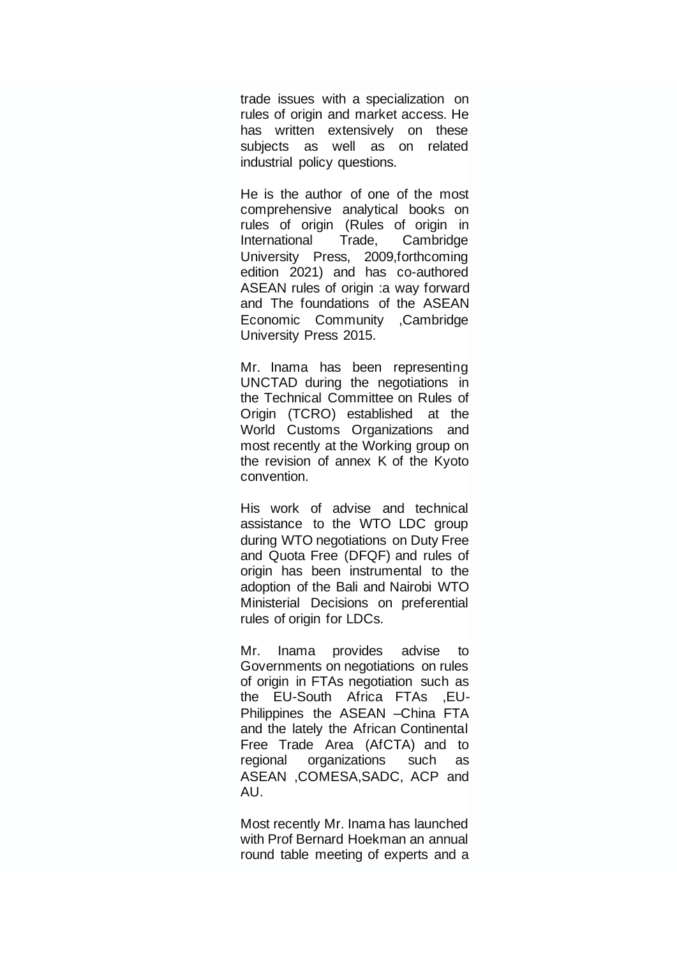trade issues with a specialization on rules of origin and market access. He has written extensively on these subjects as well as on related industrial policy questions.

He is the author of one of the most comprehensive analytical books on rules of origin (Rules of origin in International Trade, Cambridge University Press, 2009,forthcoming edition 2021) and has co-authored ASEAN rules of origin :a way forward and The foundations of the ASEAN Economic Community ,Cambridge University Press 2015.

Mr. Inama has been representing UNCTAD during the negotiations in the Technical Committee on Rules of Origin (TCRO) established at the World Customs Organizations and most recently at the Working group on the revision of annex K of the Kyoto convention.

His work of advise and technical assistance to the WTO LDC group during WTO negotiations on Duty Free and Quota Free (DFQF) and rules of origin has been instrumental to the adoption of the Bali and Nairobi WTO Ministerial Decisions on preferential rules of origin for LDCs.

Mr. Inama provides advise to Governments on negotiations on rules of origin in FTAs negotiation such as the EU-South Africa FTAs ,EU-Philippines the ASEAN –China FTA and the lately the African Continental Free Trade Area (AfCTA) and to regional organizations such as ASEAN ,COMESA,SADC, ACP and AU.

Most recently Mr. Inama has launched with Prof Bernard Hoekman an annual round table meeting of experts and a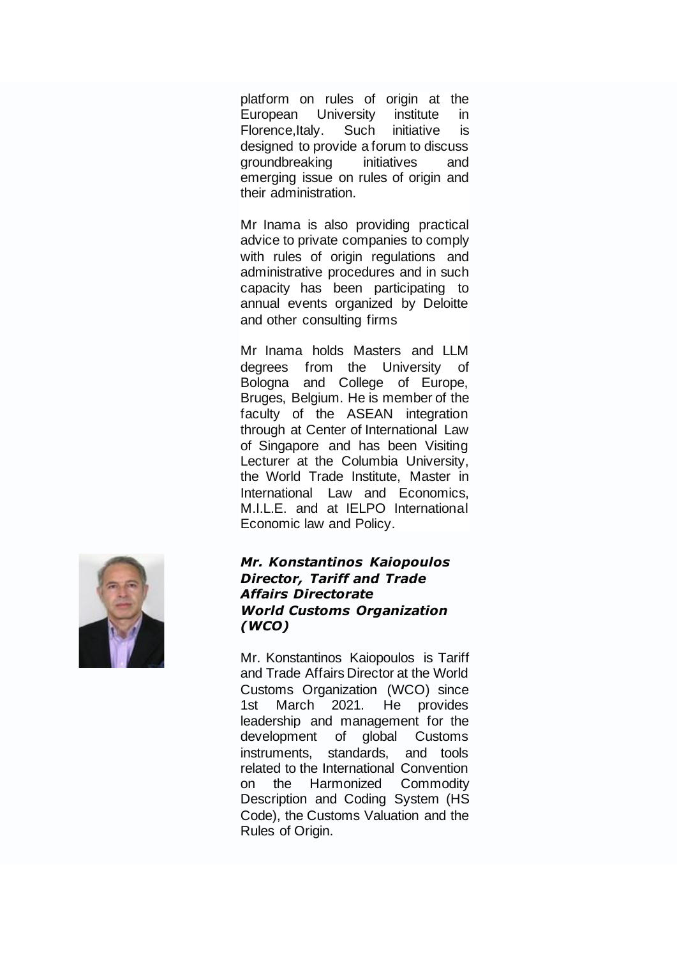platform on rules of origin at the European University institute in Florence,Italy. Such initiative is designed to provide a forum to discuss groundbreaking initiatives and emerging issue on rules of origin and their administration.

Mr Inama is also providing practical advice to private companies to comply with rules of origin regulations and administrative procedures and in such capacity has been participating to annual events organized by Deloitte and other consulting firms

Mr Inama holds Masters and LLM degrees from the University of Bologna and College of Europe, Bruges, Belgium. He is member of the faculty of the ASEAN integration through at Center of International Law of Singapore and has been Visiting Lecturer at the Columbia University, the World Trade Institute, Master in International Law and Economics, M.I.L.E. and at IELPO International Economic law and Policy.



#### *Mr. Konstantinos Kaiopoulos Director, Tariff and Trade Affairs Directorate World Customs Organization (WCO)*

Mr. Konstantinos Kaiopoulos is Tariff and Trade Affairs Director at the World Customs Organization (WCO) since 1st March 2021. He provides leadership and management for the development of global Customs instruments, standards, and tools related to the International Convention on the Harmonized Commodity Description and Coding System (HS Code), the Customs Valuation and the Rules of Origin.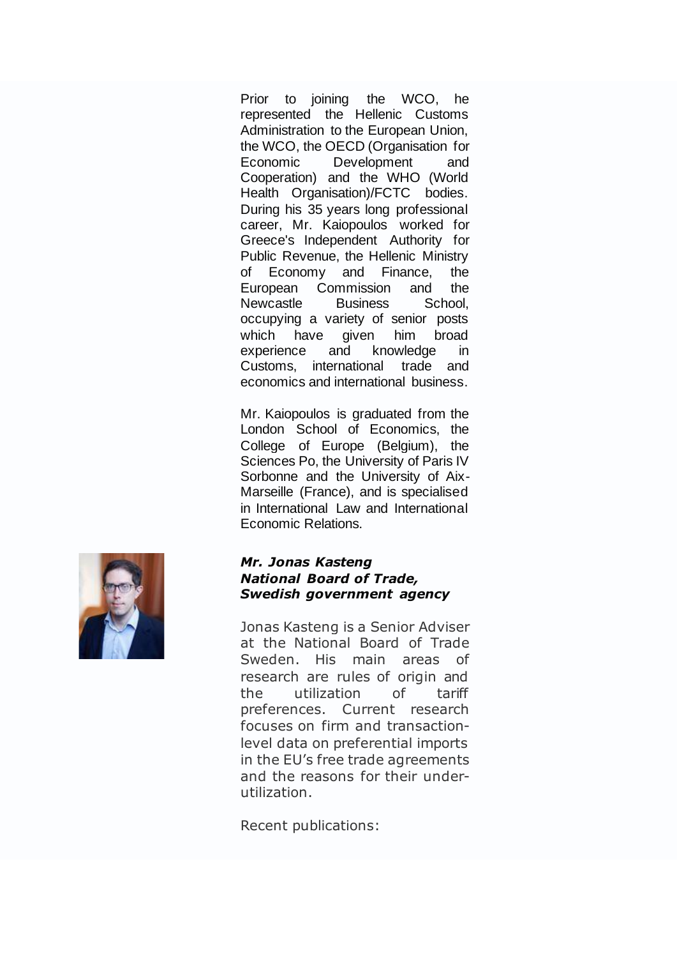Prior to joining the WCO, he represented the Hellenic Customs Administration to the European Union, the WCO, the OECD (Organisation for Economic Development and Cooperation) and the WHO (World Health Organisation)/FCTC bodies. During his 35 years long professional career, Mr. Kaiopoulos worked for Greece's Independent Authority for Public Revenue, the Hellenic Ministry of Economy and Finance, the European Commission and the Newcastle Business School, occupying a variety of senior posts which have given him broad experience and knowledge in Customs, international trade and economics and international business.

Mr. Kaiopoulos is graduated from the London School of Economics, the College of Europe (Belgium), the Sciences Po, the University of Paris IV Sorbonne and the University of Aix-Marseille (France), and is specialised in International Law and International Economic Relations.



#### *Mr. Jonas Kasteng National Board of Trade, Swedish government agency*

Jonas Kasteng is a Senior Adviser at the National Board of Trade Sweden. His main areas of research are rules of origin and the utilization of tariff preferences. Current research focuses on firm and transactionlevel data on preferential imports in the EU's free trade agreements and the reasons for their underutilization.

Recent publications: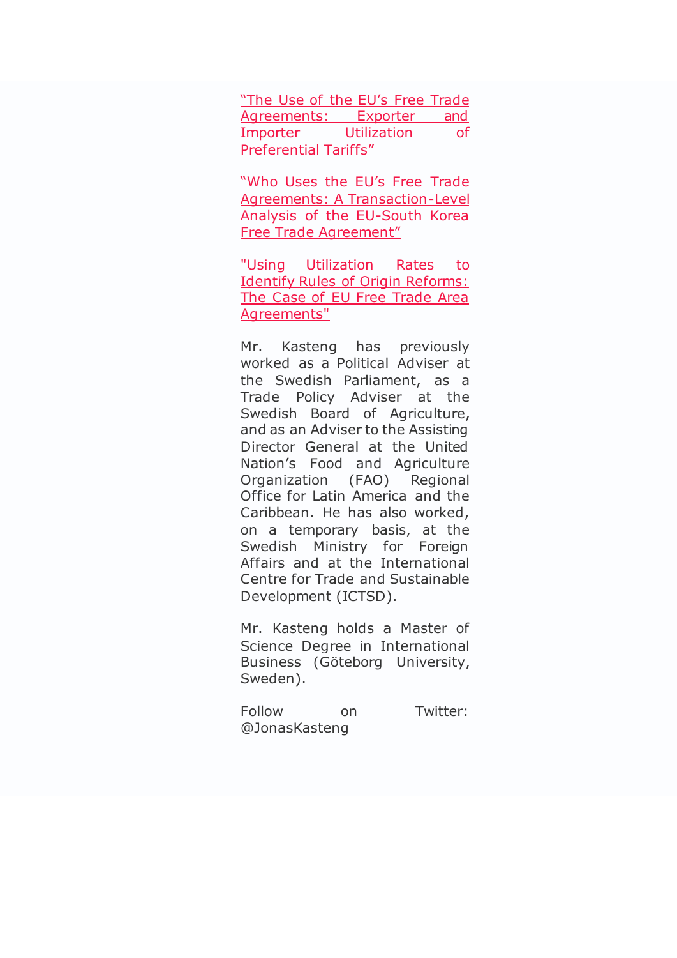["The Use of the EU's Free Trade](https://www.kommerskollegium.se/globalassets/publikationer/rapporter/2018/publ-the-use-of-the-eus-ftas.pdf)  [Agreements: Exporter and](https://www.kommerskollegium.se/globalassets/publikationer/rapporter/2018/publ-the-use-of-the-eus-ftas.pdf)  [Importer Utilization of](https://www.kommerskollegium.se/globalassets/publikationer/rapporter/2018/publ-the-use-of-the-eus-ftas.pdf)  [Preferential Tariffs"](https://www.kommerskollegium.se/globalassets/publikationer/rapporter/2018/publ-the-use-of-the-eus-ftas.pdf)

["Who Uses the EU's Free Trade](https://www.kommerskollegium.se/globalassets/publikationer/rapporter/2019/publ-who-uses-the-eus-free-trade-agreements.pdf)  [Agreements: A Transaction-Level](https://www.kommerskollegium.se/globalassets/publikationer/rapporter/2019/publ-who-uses-the-eus-free-trade-agreements.pdf)  [Analysis of the EU-South Korea](https://www.kommerskollegium.se/globalassets/publikationer/rapporter/2019/publ-who-uses-the-eus-free-trade-agreements.pdf)  [Free Trade Agreement"](https://www.kommerskollegium.se/globalassets/publikationer/rapporter/2019/publ-who-uses-the-eus-free-trade-agreements.pdf)

["Using Utilization Rates to](https://cadmus.eui.eu/bitstream/handle/1814/70396/RSC%202021_21.pdf?sequence=1&isAllowed=y)  [Identify Rules of Origin Reforms:](https://cadmus.eui.eu/bitstream/handle/1814/70396/RSC%202021_21.pdf?sequence=1&isAllowed=y)  [The Case of EU Free Trade Area](https://cadmus.eui.eu/bitstream/handle/1814/70396/RSC%202021_21.pdf?sequence=1&isAllowed=y)  [Agreements"](https://cadmus.eui.eu/bitstream/handle/1814/70396/RSC%202021_21.pdf?sequence=1&isAllowed=y)

Mr. Kasteng has previously worked as a Political Adviser at the Swedish Parliament, as a Trade Policy Adviser at the Swedish Board of Agriculture, and as an Adviser to the Assisting Director General at the United Nation's Food and Agriculture Organization (FAO) Regional Office for Latin America and the Caribbean. He has also worked, on a temporary basis, at the Swedish Ministry for Foreign Affairs and at the International Centre for Trade and Sustainable Development (ICTSD).

Mr. Kasteng holds a Master of Science Degree in International Business (Göteborg University, Sweden).

Follow on Twitter: @JonasKasteng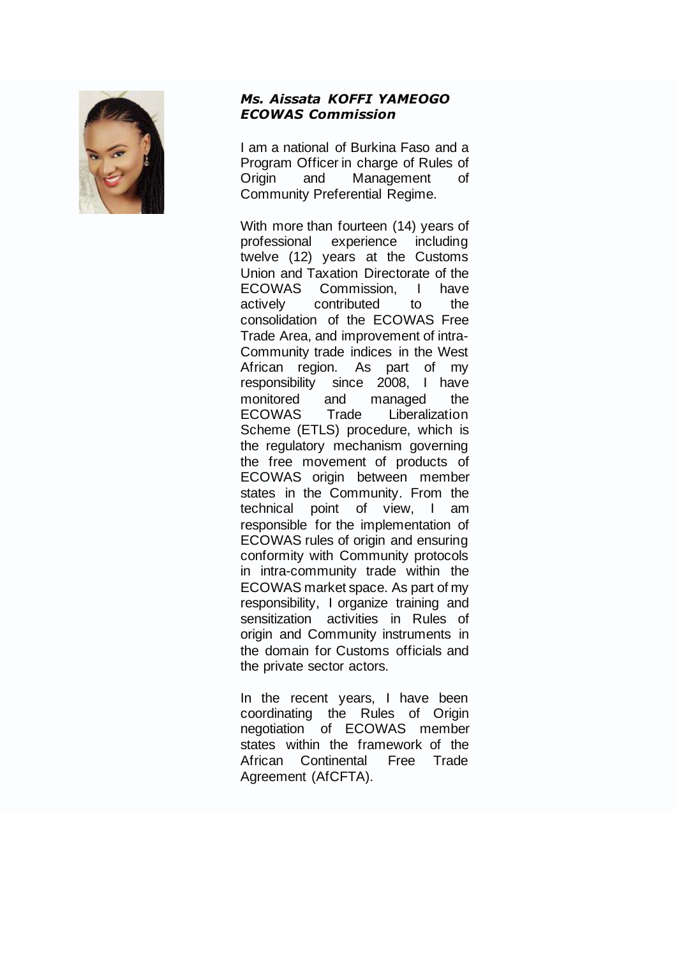

## *Ms. Aissata KOFFI YAMEOGO ECOWAS Commission*

I am a national of Burkina Faso and a Program Officer in charge of Rules of Origin and Management of Community Preferential Regime.

With more than fourteen (14) years of professional experience including twelve (12) years at the Customs Union and Taxation Directorate of the ECOWAS Commission, I have actively contributed to the consolidation of the ECOWAS Free Trade Area, and improvement of intra-Community trade indices in the West African region. As part of my responsibility since 2008, I have monitored and managed the ECOWAS Trade Liberalization Scheme (ETLS) procedure, which is the regulatory mechanism governing the free movement of products of ECOWAS origin between member states in the Community. From the technical point of view, I am responsible for the implementation of ECOWAS rules of origin and ensuring conformity with Community protocols in intra-community trade within the ECOWAS market space. As part of my responsibility, I organize training and sensitization activities in Rules of origin and Community instruments in the domain for Customs officials and the private sector actors.

In the recent years, I have been coordinating the Rules of Origin negotiation of ECOWAS member states within the framework of the African Continental Free Trade Agreement (AfCFTA).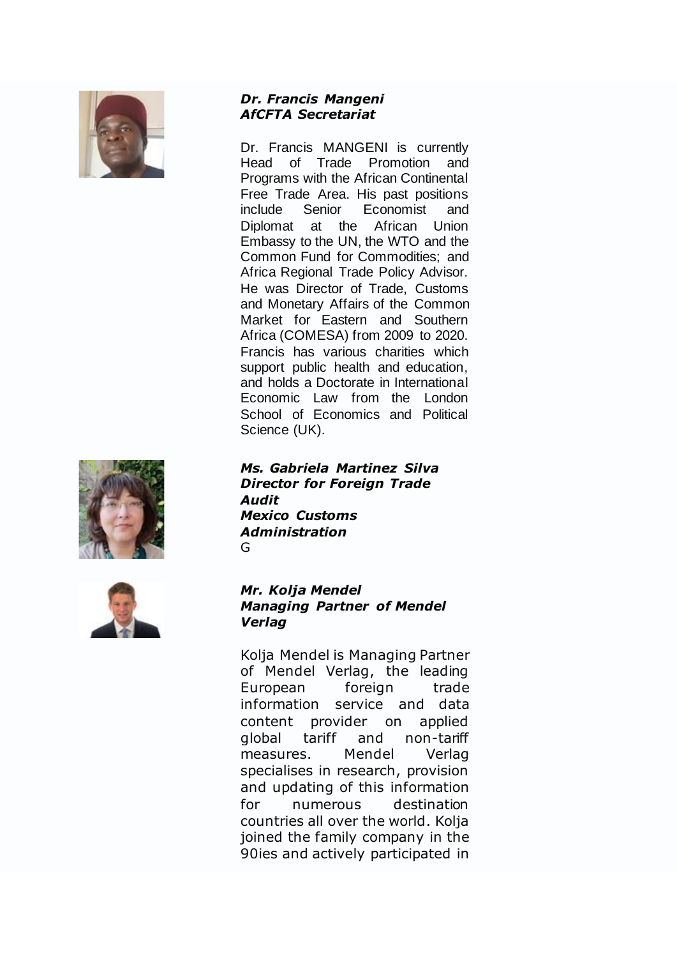

### *Dr. Francis Mangeni AfCFTA Secretariat*

Dr. Francis MANGENI is currently Head of Trade Promotion and Programs with the African Continental Free Trade Area. His past positions include Senior Economist and Diplomat at the African Union Embassy to the UN, the WTO and the Common Fund for Commodities; and Africa Regional Trade Policy Advisor. He was Director of Trade, Customs and Monetary Affairs of the Common Market for Eastern and Southern Africa (COMESA) from 2009 to 2020. Francis has various charities which support public health and education, and holds a Doctorate in International Economic Law from the London School of Economics and Political Science (UK).



*Ms. Gabriela Martinez Silva Director for Foreign Trade Audit Mexico Customs Administration* G



## *Mr. Kolja Mendel Managing Partner of Mendel Verlag*

Kolja Mendel is Managing Partner of Mendel Verlag, the leading European foreign trade information service and data content provider on applied global tariff and non-tariff measures. Mendel Verlag specialises in research, provision and updating of this information for numerous destination countries all over the world. Kolja joined the family company in the 90ies and actively participated in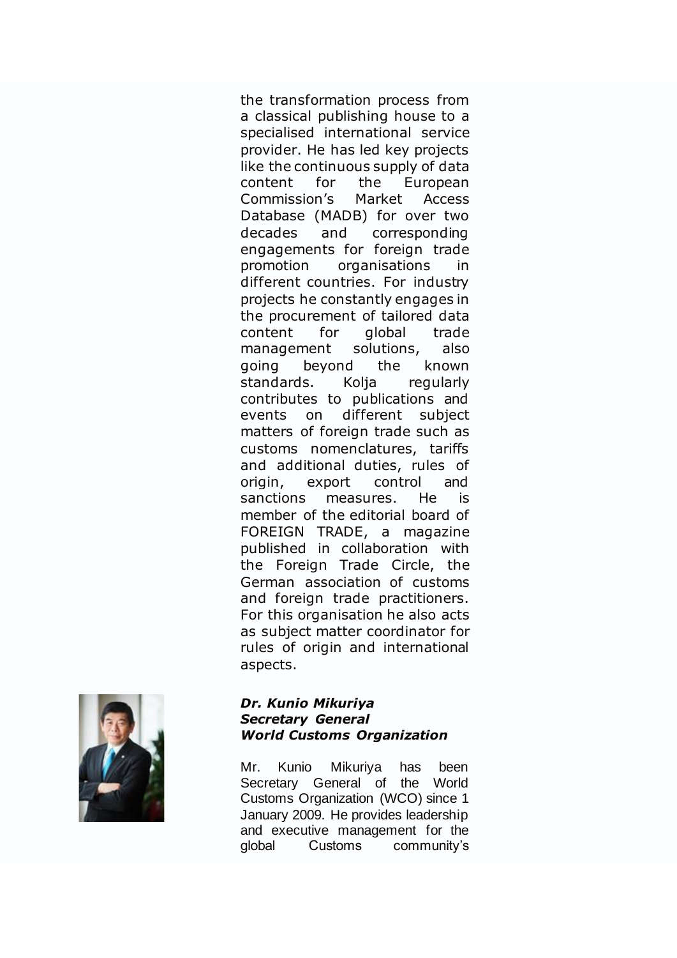the transformation process from a classical publishing house to a specialised international service provider. He has led key projects like the continuous supply of data content for the European Commission's Market Access Database (MADB) for over two decades and corresponding engagements for foreign trade promotion organisations in different countries. For industry projects he constantly engages in the procurement of tailored data content for global trade management solutions, also going beyond the known standards. Kolja regularly contributes to publications and events on different subject matters of foreign trade such as customs nomenclatures, tariffs and additional duties, rules of origin, export control and sanctions measures. He is member of the editorial board of FOREIGN TRADE, a magazine published in collaboration with the Foreign Trade Circle, the German association of customs and foreign trade practitioners. For this organisation he also acts as subject matter coordinator for rules of origin and international aspects.



## *Dr. Kunio Mikuriya Secretary General World Customs Organization*

Mr. Kunio Mikuriya has been Secretary General of the World Customs Organization (WCO) since 1 January 2009. He provides leadership and executive management for the global Customs community's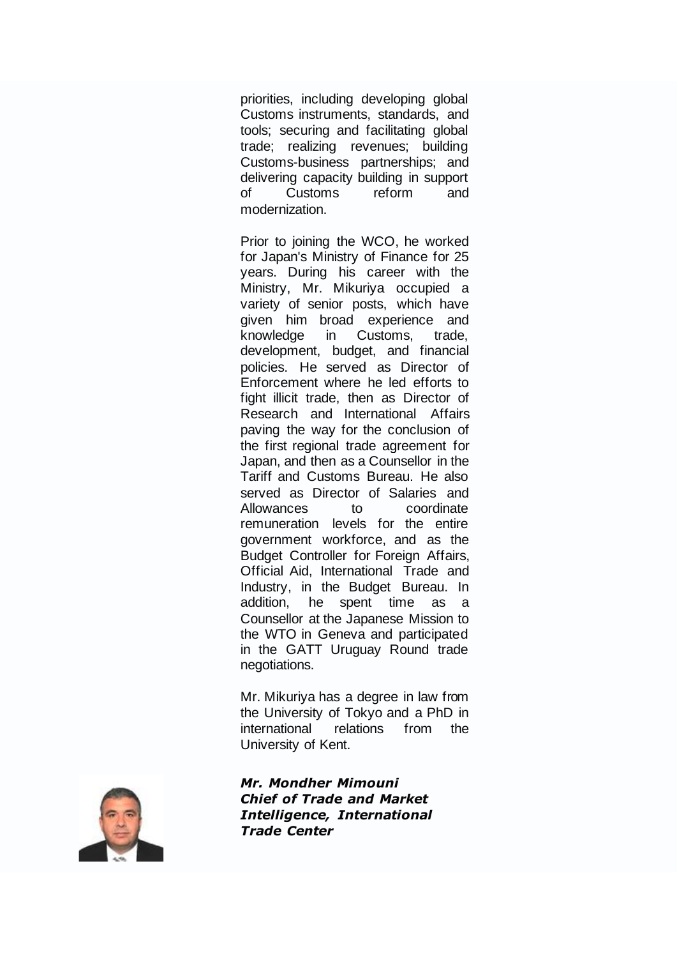priorities, including developing global Customs instruments, standards, and tools; securing and facilitating global trade; realizing revenues; building Customs-business partnerships; and delivering capacity building in support of Customs reform and modernization.

Prior to joining the WCO, he worked for Japan's Ministry of Finance for 25 years. During his career with the Ministry, Mr. Mikuriya occupied a variety of senior posts, which have given him broad experience and knowledge in Customs, trade, development, budget, and financial policies. He served as Director of Enforcement where he led efforts to fight illicit trade, then as Director of Research and International Affairs paving the way for the conclusion of the first regional trade agreement for Japan, and then as a Counsellor in the Tariff and Customs Bureau. He also served as Director of Salaries and Allowances to coordinate remuneration levels for the entire government workforce, and as the Budget Controller for Foreign Affairs, Official Aid, International Trade and Industry, in the Budget Bureau. In addition, he spent time as a Counsellor at the Japanese Mission to the WTO in Geneva and participated in the GATT Uruguay Round trade negotiations.

Mr. Mikuriya has a degree in law from the University of Tokyo and a PhD in international relations from the University of Kent.

*Mr. Mondher Mimouni Chief of Trade and Market Intelligence, International Trade Center*

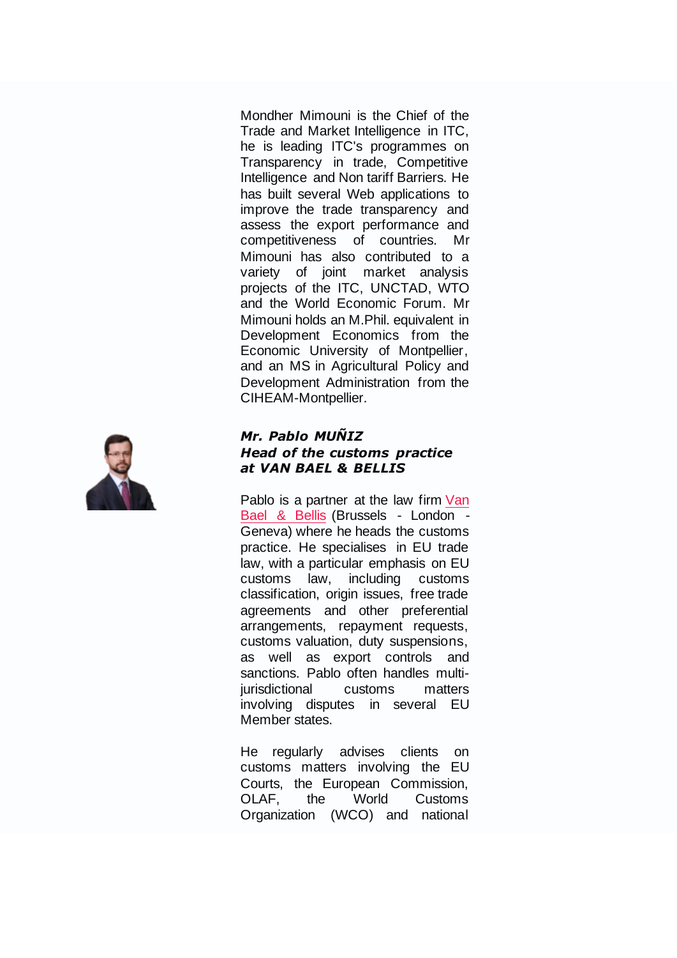Mondher Mimouni is the Chief of the Trade and Market Intelligence in ITC, he is leading ITC's programmes on Transparency in trade, Competitive Intelligence and Non tariff Barriers. He has built several Web applications to improve the trade transparency and assess the export performance and competitiveness of countries. Mr Mimouni has also contributed to a variety of joint market analysis projects of the ITC, UNCTAD, WTO and the World Economic Forum. Mr Mimouni holds an M.Phil. equivalent in Development Economics from the Economic University of Montpellier, and an MS in Agricultural Policy and Development Administration from the CIHEAM-Montpellier.



## *Mr. Pablo MUÑIZ Head of the customs practice at VAN BAEL & BELLIS*

Pablo is a partner at the law firm [Van](https://www.vbb.com/lawyers/profile/pablo-muniz)  [Bael & Bellis](https://www.vbb.com/lawyers/profile/pablo-muniz) (Brussels - London - Geneva) where he heads the customs practice. He specialises in EU trade law, with a particular emphasis on EU customs law, including customs classification, origin issues, free trade agreements and other preferential arrangements, repayment requests, customs valuation, duty suspensions, as well as export controls and sanctions. Pablo often handles multijurisdictional customs matters involving disputes in several EU Member states.

He regularly advises clients on customs matters involving the EU Courts, the European Commission, OLAF, the World Customs Organization (WCO) and national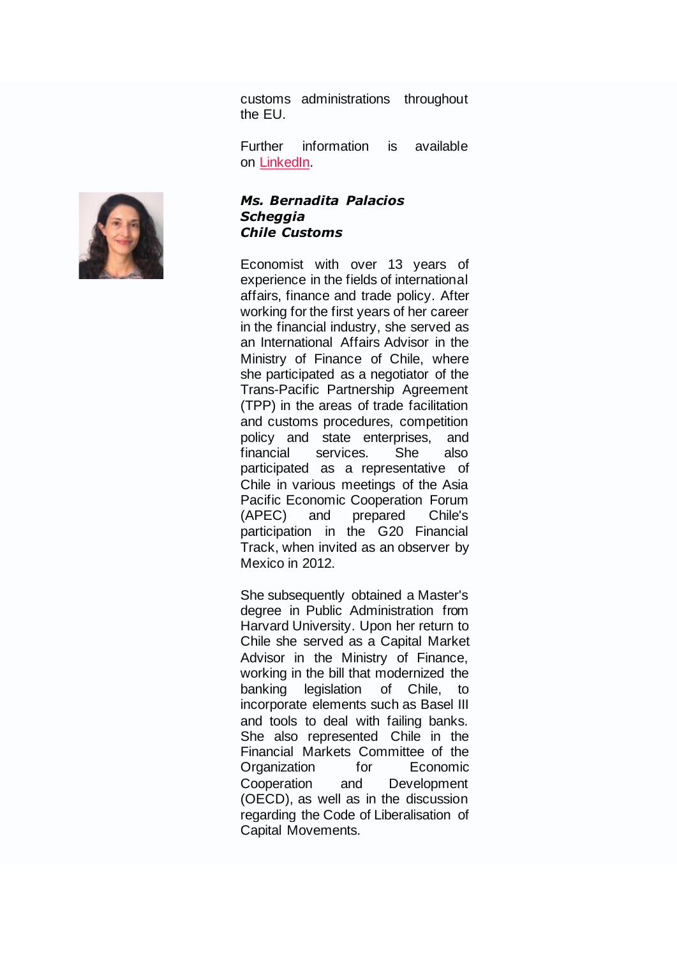customs administrations throughout the EU.

Further information is available on [LinkedIn.](https://www.linkedin.com/in/munizpablo/)

### *Ms. Bernadita Palacios Scheggia Chile Customs*

Economist with over 13 years of experience in the fields of international affairs, finance and trade policy. After working for the first years of her career in the financial industry, she served as an International Affairs Advisor in the Ministry of Finance of Chile, where she participated as a negotiator of the Trans-Pacific Partnership Agreement (TPP) in the areas of trade facilitation and customs procedures, competition policy and state enterprises, and financial services. She also participated as a representative of Chile in various meetings of the Asia Pacific Economic Cooperation Forum (APEC) and prepared Chile's participation in the G20 Financial Track, when invited as an observer by Mexico in 2012.

She subsequently obtained a Master's degree in Public Administration from Harvard University. Upon her return to Chile she served as a Capital Market Advisor in the Ministry of Finance, working in the bill that modernized the banking legislation of Chile, to incorporate elements such as Basel III and tools to deal with failing banks. She also represented Chile in the Financial Markets Committee of the Organization for Economic Cooperation and Development (OECD), as well as in the discussion regarding the Code of Liberalisation of Capital Movements.

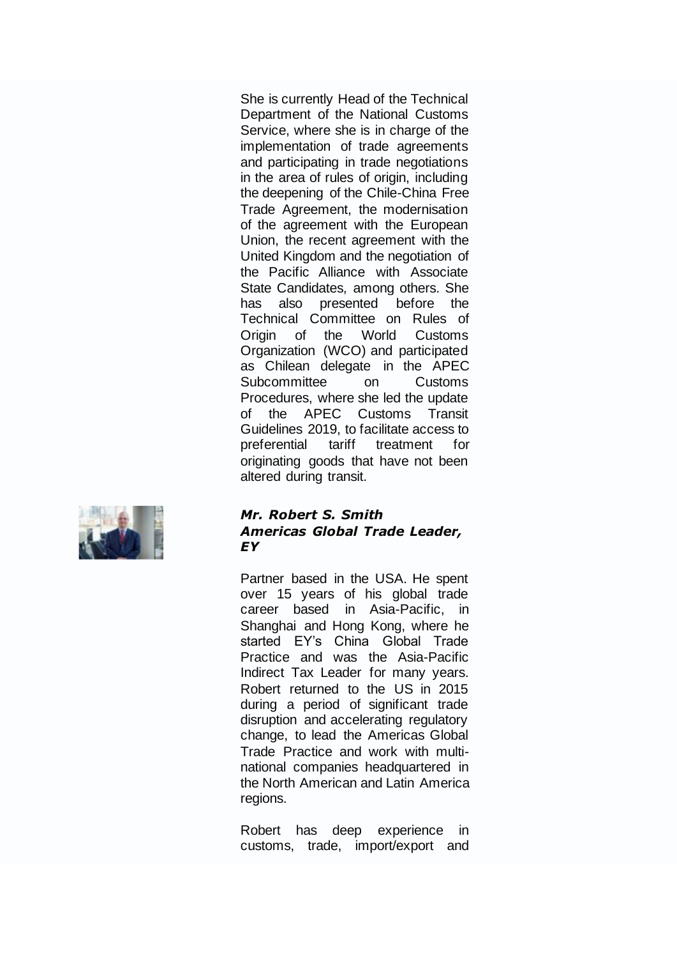She is currently Head of the Technical Department of the National Customs Service, where she is in charge of the implementation of trade agreements and participating in trade negotiations in the area of rules of origin, including the deepening of the Chile-China Free Trade Agreement, the modernisation of the agreement with the European Union, the recent agreement with the United Kingdom and the negotiation of the Pacific Alliance with Associate State Candidates, among others. She has also presented before the Technical Committee on Rules of Origin of the World Customs Organization (WCO) and participated as Chilean delegate in the APEC Subcommittee on Customs Procedures, where she led the update of the APEC Customs Transit Guidelines 2019, to facilitate access to preferential tariff treatment for originating goods that have not been altered during transit.



#### *Mr. Robert S. Smith Americas Global Trade Leader, EY*

Partner based in the USA. He spent over 15 years of his global trade career based in Asia-Pacific, in Shanghai and Hong Kong, where he started EY's China Global Trade Practice and was the Asia-Pacific Indirect Tax Leader for many years. Robert returned to the US in 2015 during a period of significant trade disruption and accelerating regulatory change, to lead the Americas Global Trade Practice and work with multinational companies headquartered in the North American and Latin America regions.

Robert has deep experience in customs, trade, import/export and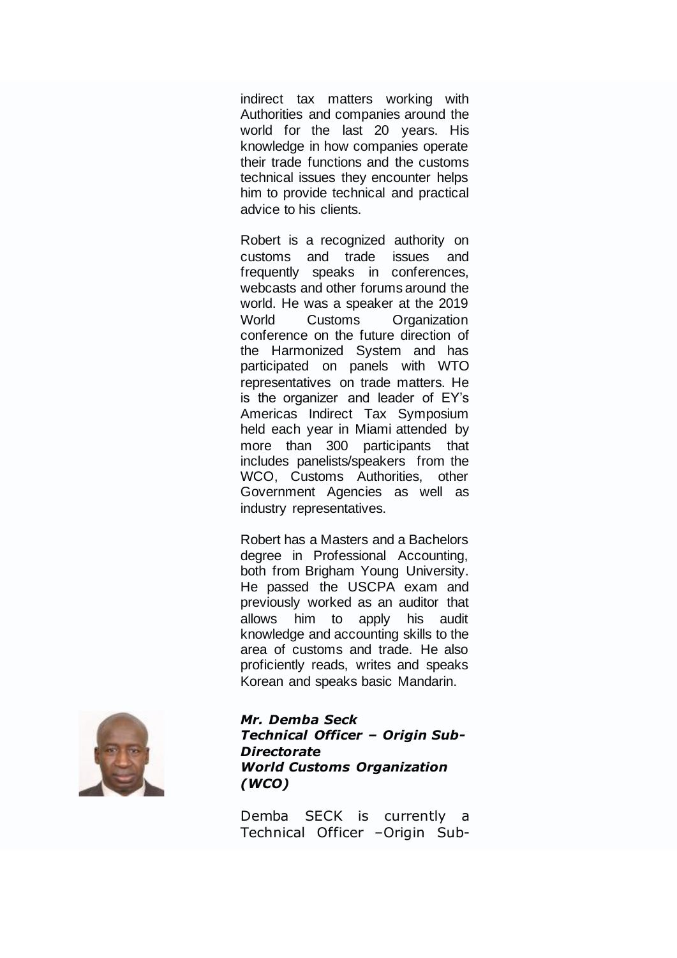indirect tax matters working with Authorities and companies around the world for the last 20 years. His knowledge in how companies operate their trade functions and the customs technical issues they encounter helps him to provide technical and practical advice to his clients.

Robert is a recognized authority on customs and trade issues and frequently speaks in conferences, webcasts and other forums around the world. He was a speaker at the 2019 World Customs Organization conference on the future direction of the Harmonized System and has participated on panels with WTO representatives on trade matters. He is the organizer and leader of EY's Americas Indirect Tax Symposium held each year in Miami attended by more than 300 participants that includes panelists/speakers from the WCO, Customs Authorities, other Government Agencies as well as industry representatives.

Robert has a Masters and a Bachelors degree in Professional Accounting, both from Brigham Young University. He passed the USCPA exam and previously worked as an auditor that allows him to apply his audit knowledge and accounting skills to the area of customs and trade. He also proficiently reads, writes and speaks Korean and speaks basic Mandarin.

![](_page_21_Picture_3.jpeg)

*Mr. Demba Seck Technical Officer – Origin Sub-Directorate World Customs Organization (WCO)*

Demba SECK is currently a Technical Officer –Origin Sub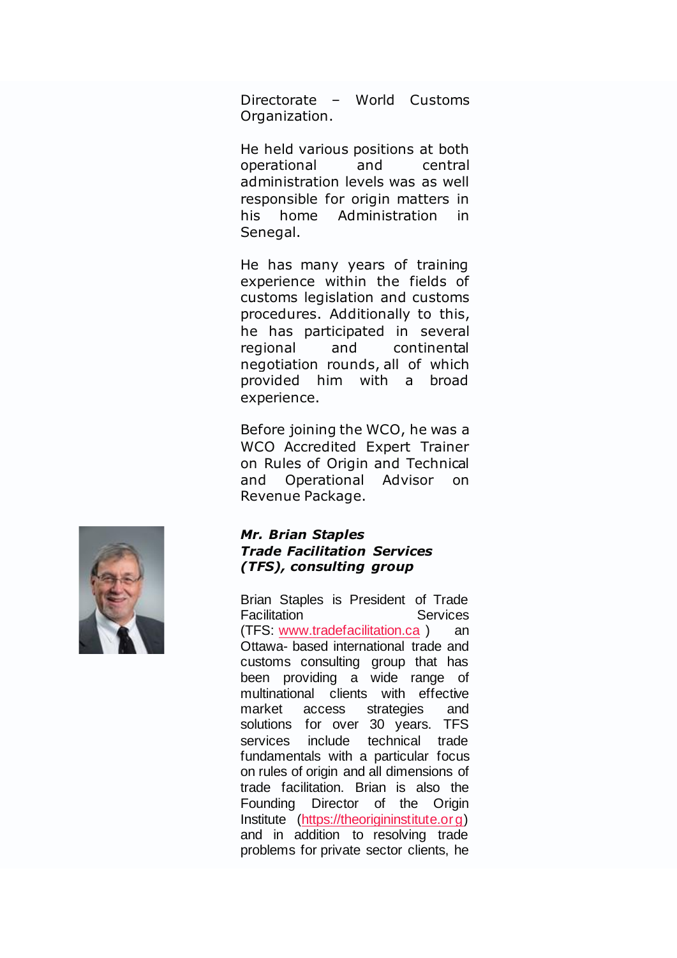Directorate – World Customs Organization.

He held various positions at both operational and central administration levels was as well responsible for origin matters in his home Administration in Senegal.

He has many years of training experience within the fields of customs legislation and customs procedures. Additionally to this, he has participated in several regional and continental negotiation rounds, all of which provided him with a broad experience.

Before joining the WCO, he was a WCO Accredited Expert Trainer on Rules of Origin and Technical and Operational Advisor on Revenue Package.

![](_page_22_Picture_4.jpeg)

### *Mr. Brian Staples Trade Facilitation Services (TFS), consulting group*

Brian Staples is President of Trade **Facilitation** Services (TFS: [www.tradefacilitation.ca](http://www.tradefacilitation.ca/)) an Ottawa- based international trade and customs consulting group that has been providing a wide range of multinational clients with effective market access strategies and solutions for over 30 years. TFS services include technical trade fundamentals with a particular focus on rules of origin and all dimensions of trade facilitation. Brian is also the Founding Director of the Origin Institute [\(https://theorigininstitute.org\)](https://theorigininstitute.org/) and in addition to resolving trade problems for private sector clients, he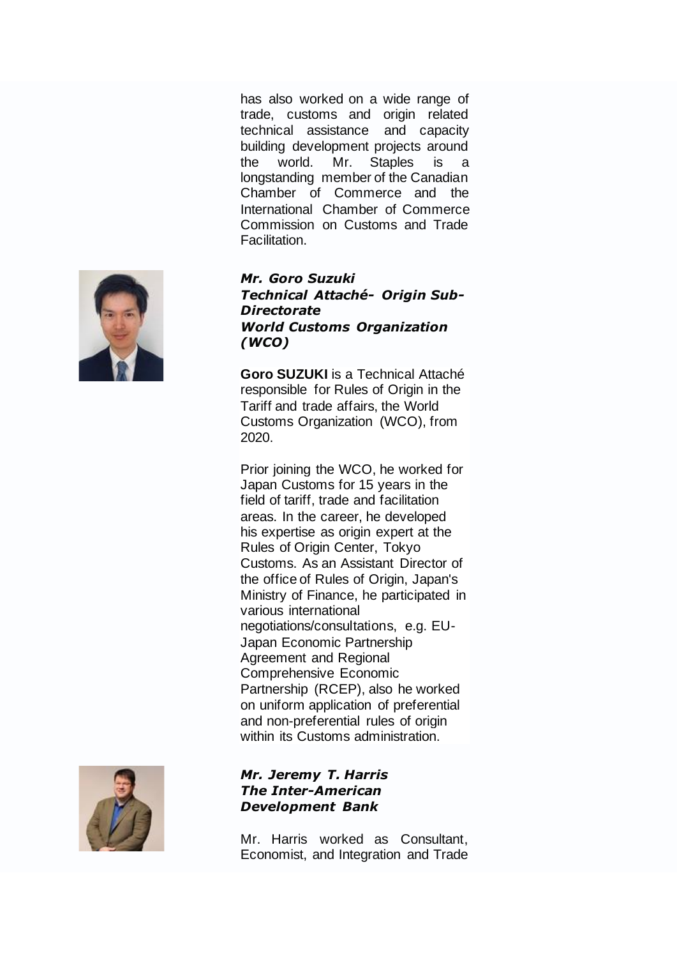has also worked on a wide range of trade, customs and origin related technical assistance and capacity building development projects around the world. Mr. Staples is a longstanding member of the Canadian Chamber of Commerce and the International Chamber of Commerce Commission on Customs and Trade Facilitation.

### *Mr. Goro Suzuki Technical Attaché- Origin Sub-Directorate World Customs Organization (WCO)*

**Goro SUZUKI** is a Technical Attaché responsible for Rules of Origin in the Tariff and trade affairs, the World Customs Organization (WCO), from 2020.

Prior joining the WCO, he worked for Japan Customs for 15 years in the field of tariff, trade and facilitation areas. In the career, he developed his expertise as origin expert at the Rules of Origin Center, Tokyo Customs. As an Assistant Director of the office of Rules of Origin, Japan's Ministry of Finance, he participated in various international negotiations/consultations, e.g. EU-Japan Economic Partnership Agreement and Regional Comprehensive Economic Partnership (RCEP), also he worked on uniform application of preferential and non-preferential rules of origin within its Customs administration.

## *Mr. Jeremy T. Harris The Inter-American Development Bank*

Mr. Harris worked as Consultant, Economist, and Integration and Trade

![](_page_23_Picture_6.jpeg)

![](_page_23_Picture_7.jpeg)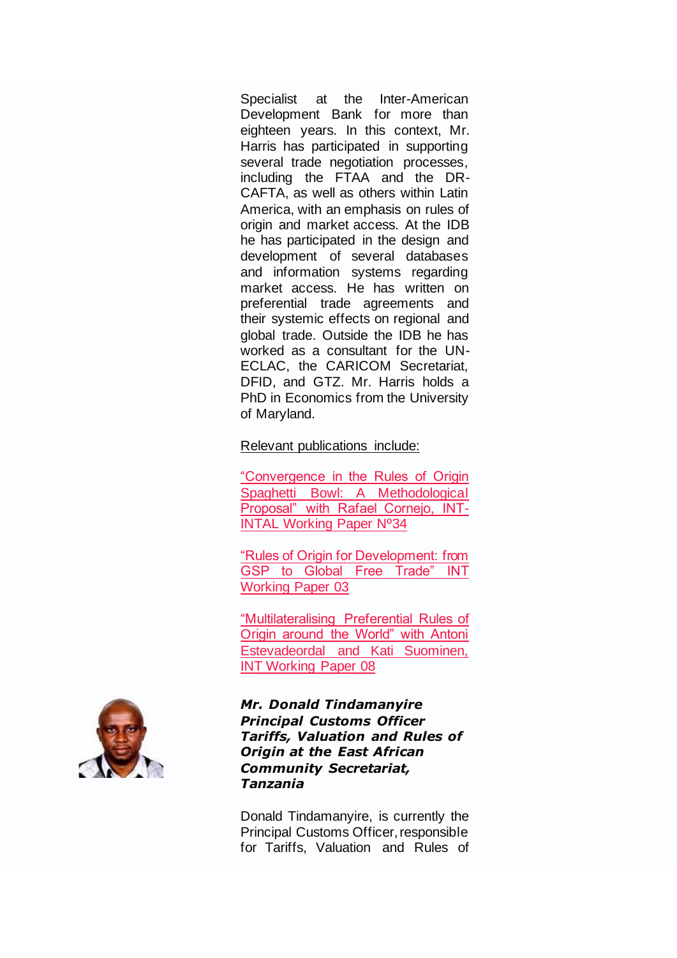Specialist at the Inter-American Development Bank for more than eighteen years. In this context, Mr. Harris has participated in supporting several trade negotiation processes, including the FTAA and the DR-CAFTA, as well as others within Latin America, with an emphasis on rules of origin and market access. At the IDB he has participated in the design and development of several databases and information systems regarding market access. He has written on preferential trade agreements and their systemic effects on regional and global trade. Outside the IDB he has worked as a consultant for the UN-ECLAC, the CARICOM Secretariat, DFID, and GTZ. Mr. Harris holds a PhD in Economics from the University of Maryland.

### Relevant publications include:

["Convergence in the Rules of Origin](https://publications.iadb.org/handle/11319/2466)  [Spaghetti Bowl: A Methodological](https://publications.iadb.org/handle/11319/2466)  [Proposal" with Rafael Cornejo, INT-](https://publications.iadb.org/handle/11319/2466)[INTAL Working Paper Nº34](https://publications.iadb.org/handle/11319/2466)

["Rules of Origin for Development: from](https://publications.iadb.org/handle/11319/2492)  [GSP to Global Free Trade" INT](https://publications.iadb.org/handle/11319/2492)  [Working Paper 03](https://publications.iadb.org/handle/11319/2492)

["Multilateralising Preferential Rules of](https://publications.iadb.org/handle/11319/2521)  [Origin around the World" with Antoni](https://publications.iadb.org/handle/11319/2521)  [Estevadeordal and Kati Suominen,](https://publications.iadb.org/handle/11319/2521)  [INT Working Paper 08](https://publications.iadb.org/handle/11319/2521)

### *Mr. Donald Tindamanyire Principal Customs Officer Tariffs, Valuation and Rules of Origin at the East African Community Secretariat, Tanzania*

Donald Tindamanyire, is currently the Principal Customs Officer, responsible for Tariffs, Valuation and Rules of

![](_page_24_Picture_7.jpeg)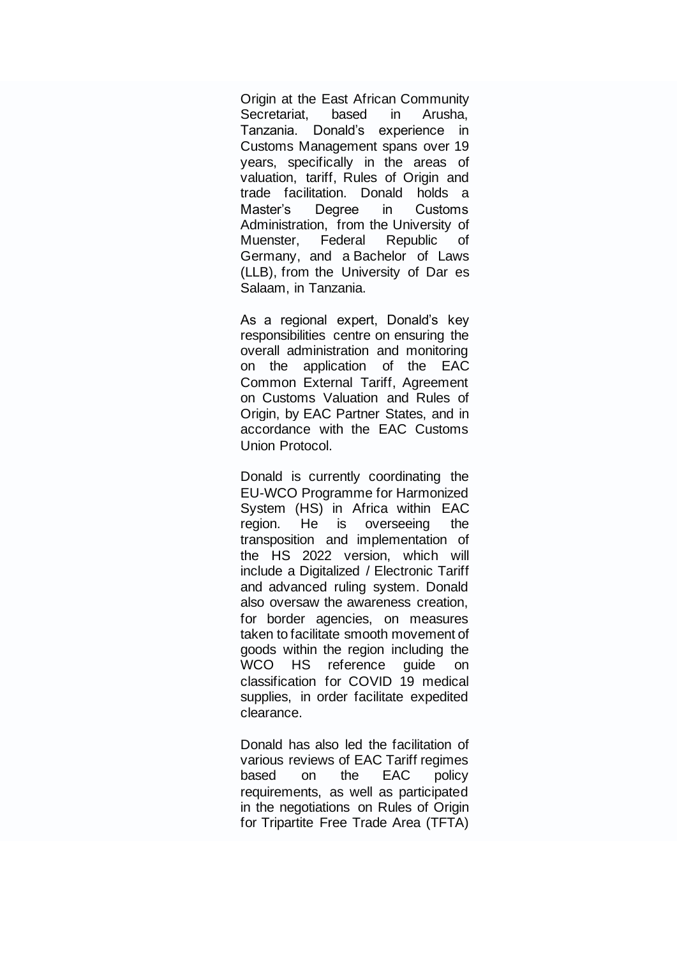Origin at the East African Community Secretariat, based in Arusha, Tanzania. Donald's experience in Customs Management spans over 19 years, specifically in the areas of valuation, tariff, Rules of Origin and trade facilitation. Donald holds a Master's Degree in Customs Administration, from the University of Muenster, Federal Republic of Germany, and a Bachelor of Laws (LLB), from the University of Dar es Salaam, in Tanzania.

As a regional expert, Donald's key responsibilities centre on ensuring the overall administration and monitoring on the application of the EAC Common External Tariff, Agreement on Customs Valuation and Rules of Origin, by EAC Partner States, and in accordance with the EAC Customs Union Protocol.

Donald is currently coordinating the EU-WCO Programme for Harmonized System (HS) in Africa within EAC region. He is overseeing the transposition and implementation of the HS 2022 version, which will include a Digitalized / Electronic Tariff and advanced ruling system. Donald also oversaw the awareness creation, for border agencies, on measures taken to facilitate smooth movement of goods within the region including the WCO HS reference guide on classification for COVID 19 medical supplies, in order facilitate expedited clearance.

Donald has also led the facilitation of various reviews of EAC Tariff regimes based on the EAC policy requirements, as well as participated in the negotiations on Rules of Origin for Tripartite Free Trade Area (TFTA)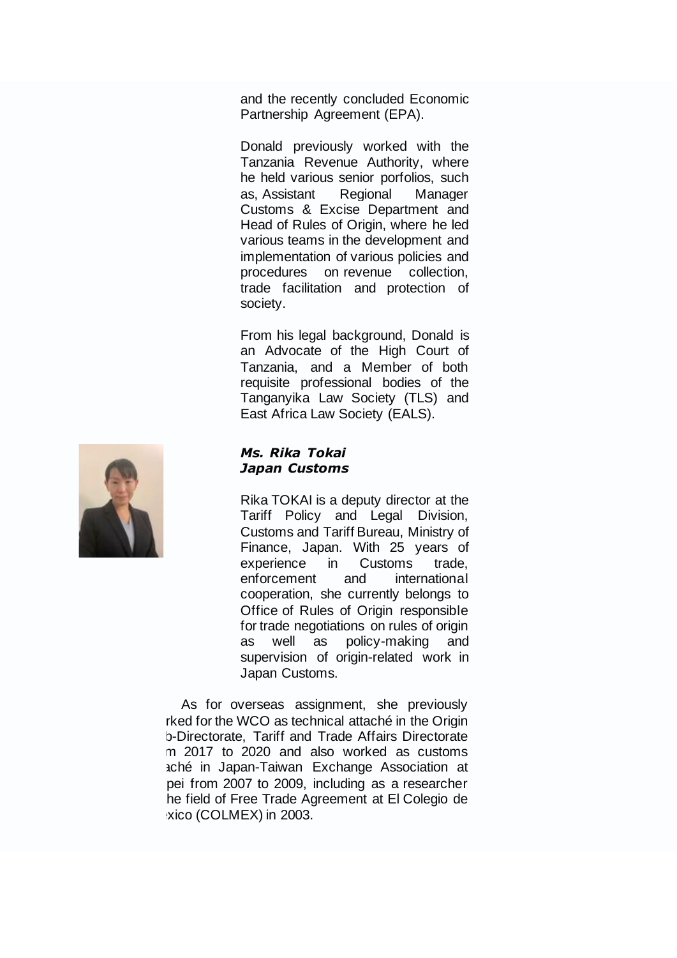and the recently concluded Economic Partnership Agreement (EPA).

Donald previously worked with the Tanzania Revenue Authority, where he held various senior porfolios, such as, Assistant Regional Manager Customs & Excise Department and Head of Rules of Origin, where he led various teams in the development and implementation of various policies and procedures on revenue collection, trade facilitation and protection of society.

From his legal background, Donald is an Advocate of the High Court of Tanzania, and a Member of both requisite professional bodies of the Tanganyika Law Society (TLS) and East Africa Law Society (EALS).

#### *Ms. Rika Tokai Japan Customs*

Rika TOKAI is a deputy director at the Tariff Policy and Legal Division, Customs and Tariff Bureau, Ministry of Finance, Japan. With 25 years of experience in Customs trade, enforcement and international cooperation, she currently belongs to Office of Rules of Origin responsible for trade negotiations on rules of origin as well as policy-making and supervision of origin-related work in Japan Customs.

As for overseas assignment, she previously rked for the WCO as technical attaché in the Origin b-Directorate, Tariff and Trade Affairs Directorate m 2017 to 2020 and also worked as customs aché in Japan-Taiwan Exchange Association at pei from 2007 to 2009, including as a researcher he field of Free Trade Agreement at El Colegio de xico (COLMEX) in 2003.

![](_page_26_Picture_6.jpeg)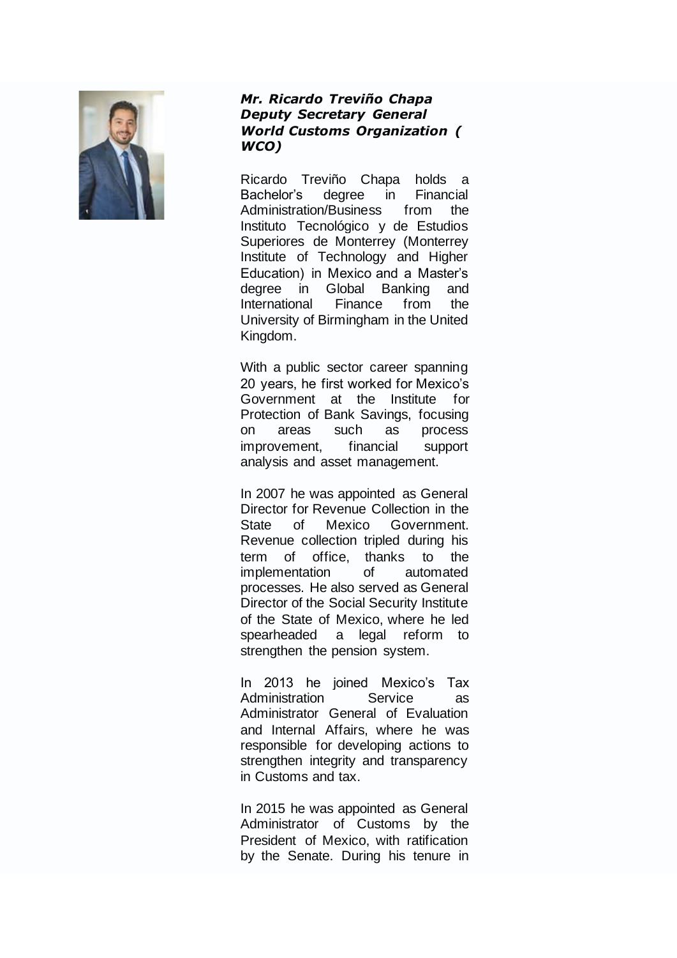![](_page_27_Picture_0.jpeg)

### *Mr. Ricardo Treviño Chapa Deputy Secretary General World Customs Organization ( WCO)*

Ricardo Treviño Chapa holds a Bachelor's degree in Financial Administration/Business from the Instituto Tecnológico y de Estudios Superiores de Monterrey (Monterrey Institute of Technology and Higher Education) in Mexico and a Master's degree in Global Banking and International Finance from the University of Birmingham in the United Kingdom.

With a public sector career spanning 20 years, he first worked for Mexico's Government at the Institute for Protection of Bank Savings, focusing on areas such as process improvement, financial support analysis and asset management.

In 2007 he was appointed as General Director for Revenue Collection in the State of Mexico Government. Revenue collection tripled during his term of office, thanks to the implementation of automated processes. He also served as General Director of the Social Security Institute of the State of Mexico, where he led spearheaded a legal reform to strengthen the pension system.

In 2013 he joined Mexico's Tax Administration Service as Administrator General of Evaluation and Internal Affairs, where he was responsible for developing actions to strengthen integrity and transparency in Customs and tax.

In 2015 he was appointed as General Administrator of Customs by the President of Mexico, with ratification by the Senate. During his tenure in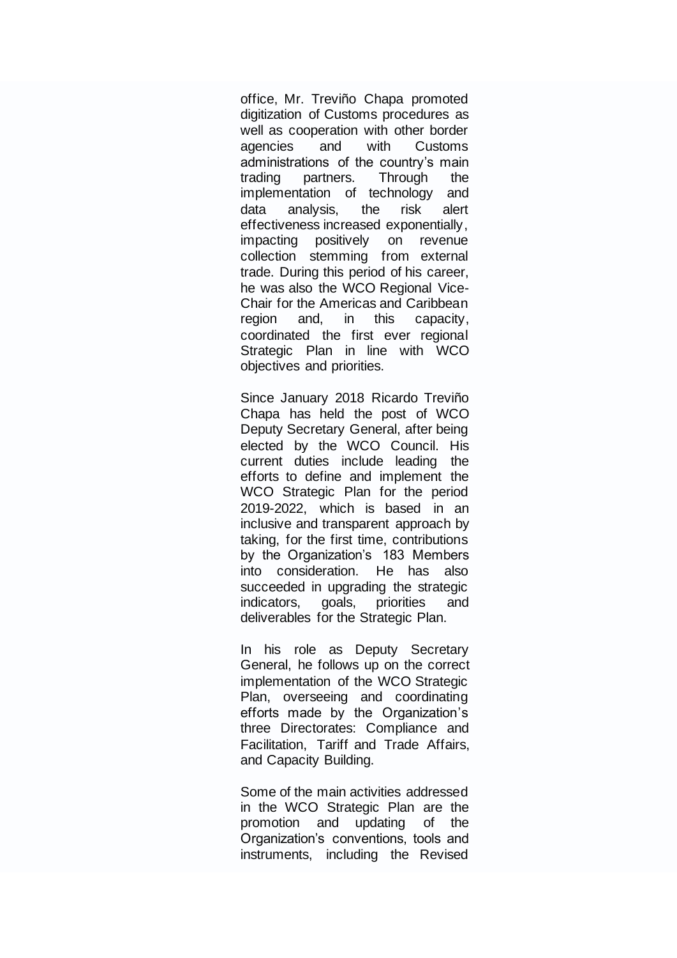office, Mr. Treviño Chapa promoted digitization of Customs procedures as well as cooperation with other border agencies and with Customs administrations of the country's main trading partners. Through the implementation of technology and data analysis, the risk alert effectiveness increased exponentially, impacting positively on revenue collection stemming from external trade. During this period of his career, he was also the WCO Regional Vice-Chair for the Americas and Caribbean region and, in this capacity, coordinated the first ever regional Strategic Plan in line with WCO objectives and priorities.

Since January 2018 Ricardo Treviño Chapa has held the post of WCO Deputy Secretary General, after being elected by the WCO Council. His current duties include leading the efforts to define and implement the WCO Strategic Plan for the period 2019-2022, which is based in an inclusive and transparent approach by taking, for the first time, contributions by the Organization's 183 Members into consideration. He has also succeeded in upgrading the strategic indicators, goals, priorities and deliverables for the Strategic Plan.

In his role as Deputy Secretary General, he follows up on the correct implementation of the WCO Strategic Plan, overseeing and coordinating efforts made by the Organization's three Directorates: Compliance and Facilitation, Tariff and Trade Affairs, and Capacity Building.

Some of the main activities addressed in the WCO Strategic Plan are the promotion and updating of the Organization's conventions, tools and instruments, including the Revised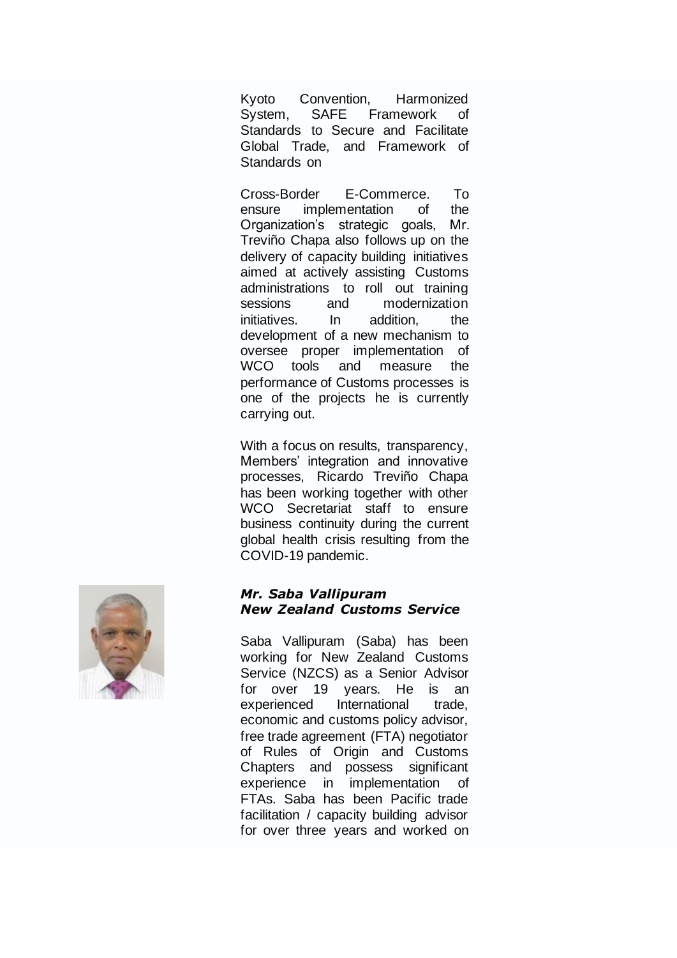Kyoto Convention, Harmonized System, SAFE Framework of Standards to Secure and Facilitate Global Trade, and Framework of Standards on

Cross-Border E-Commerce. To ensure implementation of the Organization's strategic goals, Mr. Treviño Chapa also follows up on the delivery of capacity building initiatives aimed at actively assisting Customs administrations to roll out training sessions and modernization initiatives. In addition, the development of a new mechanism to oversee proper implementation of WCO tools and measure the performance of Customs processes is one of the projects he is currently carrying out.

With a focus on results, transparency, Members' integration and innovative processes, Ricardo Treviño Chapa has been working together with other WCO Secretariat staff to ensure business continuity during the current global health crisis resulting from the COVID-19 pandemic.

![](_page_29_Picture_3.jpeg)

### *Mr. Saba Vallipuram New Zealand Customs Service*

Saba Vallipuram (Saba) has been working for New Zealand Customs Service (NZCS) as a Senior Advisor for over 19 years. He is an experienced International trade. economic and customs policy advisor, free trade agreement (FTA) negotiator of Rules of Origin and Customs Chapters and possess significant experience in implementation of FTAs. Saba has been Pacific trade facilitation / capacity building advisor for over three years and worked on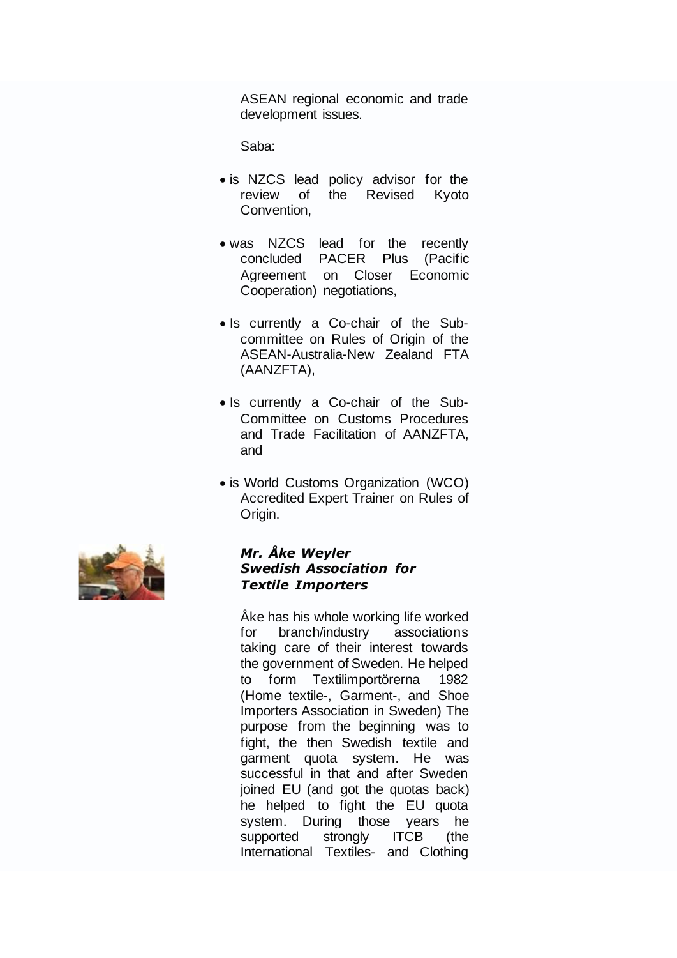ASEAN regional economic and trade development issues.

Saba:

- is NZCS lead policy advisor for the review of the Revised Kyoto Convention,
- was NZCS lead for the recently concluded PACER Plus (Pacific Agreement on Closer Economic Cooperation) negotiations,
- Is currently a Co-chair of the Subcommittee on Rules of Origin of the ASEAN-Australia-New Zealand FTA (AANZFTA),
- Is currently a Co-chair of the Sub-Committee on Customs Procedures and Trade Facilitation of AANZFTA, and
- is World Customs Organization (WCO) Accredited Expert Trainer on Rules of Origin.

![](_page_30_Picture_7.jpeg)

## *Mr. Åke Weyler Swedish Association for Textile Importers*

Åke has his whole working life worked for branch/industry associations taking care of their interest towards the government of Sweden. He helped to form Textilimportörerna 1982 (Home textile-, Garment-, and Shoe Importers Association in Sweden) The purpose from the beginning was to fight, the then Swedish textile and garment quota system. He was successful in that and after Sweden joined EU (and got the quotas back) he helped to fight the EU quota system. During those years he supported strongly ITCB (the International Textiles- and Clothing